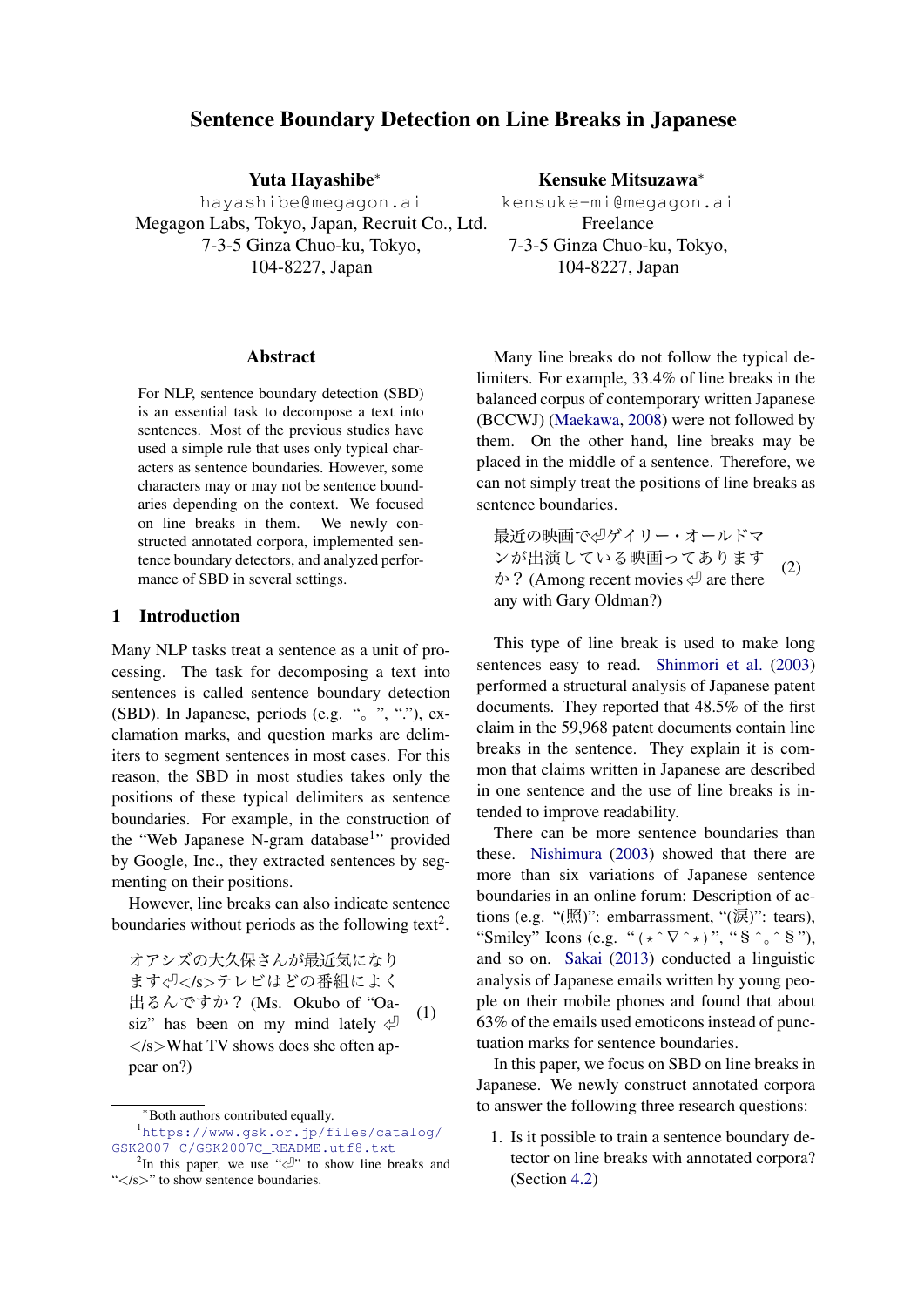# Sentence Boundary Detection on Line Breaks in Japanese

Yuta Hayashibe*<sup>∗</sup>* hayashibe@megagon.ai Megagon Labs, Tokyo, Japan, Recruit Co., Ltd. 7-3-5 Ginza Chuo-ku, Tokyo, 104-8227, Japan

#### Abstract

For NLP, sentence boundary detection (SBD) is an essential task to decompose a text into sentences. Most of the previous studies have used a simple rule that uses only typical characters as sentence boundaries. However, some characters may or may not be sentence boundaries depending on the context. We focused on line breaks in them. We newly constructed annotated corpora, implemented sentence boundary detectors, and analyzed performance of SBD in several settings.

## 1 Introduction

Many NLP tasks treat a sentence as a unit of processing. The task for decomposing a text into sentences is called sentence boundary detection (SBD). In Japanese, periods (e.g. "。", "."), exclamation marks, and question marks are delimiters to segment sentences in most cases. For this reason, the SBD in most studies takes only the positions of these typical delimiters as sentence boundaries. For example, in the construction of the "Web Japanese N-gram database<sup>1</sup>" provided by Google, Inc., they extracted sentences by segmenting on their positions.

However, line breaks can also indicate sentence boundaries without periods as the following text<sup>2</sup>.

オアシズの大久保さんが最近気になり ます㾑*<*/s*>*テレビはどの番組によく 出るんですか? (Ms. Okubo of "Oasiz" has been on my mind lately  $\Diamond$ *<*/s*>*What TV shows does she often appear on?) (1)

Many line breaks do not follow the typical delimiters. For example, 33.4% of line breaks in the balanced corpus of contemporary written Japanese (BCCWJ) (Maekawa, 2008) were not followed by them. On the other hand, line breaks may be placed in the middle of a sentence. Therefore, we can not simply treat th[e pos](#page-4-0)itions of line breaks as sentence b[oundaries.](#page-4-0)

最近の映画で㾑ゲイリー・オールドマ ンが出演している映画ってあります  $\phi$ ? (Among recent movies  $\phi$  are there any with Gary Oldman?) (2)

This type of line break is used to make long sentences easy to read. Shinmori et al. (2003) performed a structural analysis of Japanese patent documents. They reported that 48.5% of the first claim in the 59,968 patent documents contain line breaks in the sentence. [They explain it i](#page-4-1)s [com](#page-4-1)mon that claims written in Japanese are described in one sentence and the use of line breaks is intended to improve readability.

There can be more sentence boundaries than these. Nishimura (2003) showed that there are more than six variations of Japanese sentence boundaries in an online forum: Description of actions (e.g. "(照)": embarrassment, "(涙)": tears), "Smile[y" Icons \(e.](#page-4-2)g[. "](#page-4-2) $(* \hat{\nabla}^**)$ ", " $\hat{\mathbf{S}} \hat{\mathbf{S}}$ "), and so on. Sakai (2013) conducted a linguistic analysis of Japanese emails written by young people on their mobile phones and found that about 63% of the emails used emoticons instead of punctuation mark[s for s](#page-4-3)e[ntence](#page-4-3) boundaries.

In this paper, we focus on SBD on line breaks in Japanese. We newly construct annotated corpora to answer the following three research questions:

1. Is it possible to train a sentence boundary detector on line breaks with annotated corpora? (Section 4.2)

Kensuke Mitsuzawa*<sup>∗</sup>* kensuke-mi@megagon.ai

Freelance 7-3-5 Ginza Chuo-ku, Tokyo, 104-8227, Japan

*<sup>∗</sup>*Both authors contributed equally.

<sup>1</sup>https://www.gsk.or.jp/files/catalog/ GSK2007-C/GSK2007C\_README.utf8.txt

<sup>&</sup>lt;sup>2</sup>In this paper, we use " $\sqrt{ }$ " to show line breaks and "*<*/s*>*" to show sentence boundaries.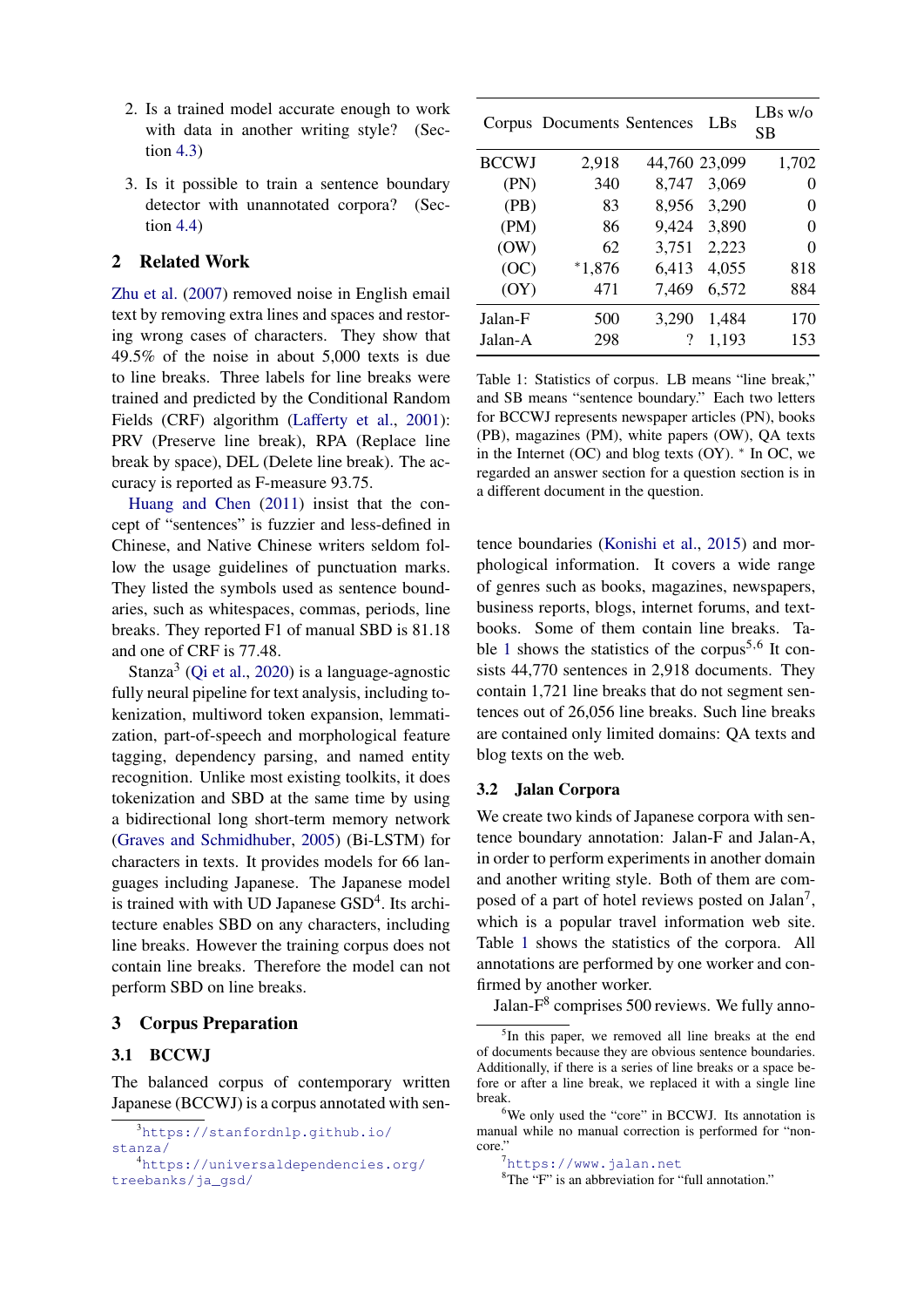- 2. Is a trained model accurate enough to work with data in another writing style? (Section 4.3)
- 3. Is it possible to train a sentence boundary detector with unannotated corpora? (Section [4.4](#page-3-0))

## 2 Related Work

Zhu et al. [\(20](#page-3-1)07) removed noise in English email text by removing extra lines and spaces and restoring wrong cases of characters. They show that 49.5% of the noise in about 5,000 texts is due [to line breaks. T](#page-4-4)hree labels for line breaks were trained and predicted by the Conditional Random Fields (CRF) algorithm (Lafferty et al., 2001): PRV (Preserve line break), RPA (Replace line break by space), DEL (Delete line break). The accuracy is reported as F-measure 93.75.

Huang and Chen (201[1\) insist that t](#page-4-5)h[e con](#page-4-5)cept of "sentences" is fuzzier and less-defined in Chinese, and Native Chinese writers seldom follow the usage guidelines of punctuation marks. T[hey listed the symbols use](#page-4-6)d as sentence boundaries, such as whitespaces, commas, periods, line breaks. They reported F1 of manual SBD is 81.18 and one of CRF is 77.48.

Stanza<sup>3</sup> (Qi et al., 2020) is a language-agnostic fully neural pipeline for text analysis, including tokenization, multiword token expansion, lemmatization, part-of-speech and morphological feature tagging, d[ependency pars](#page-4-7)ing, and named entity recognition. Unlike most existing toolkits, it does tokenization and SBD at the same time by using a bidirectional long short-term memory network (Graves and Schmidhuber, 2005) (Bi-LSTM) for characters in texts. It provides models for 66 languages including Japanese. The Japanese model is trained with with UD Japanese GSD<sup>4</sup>. Its archit[ecture enables SBD on any char](#page-4-8)acters, including line breaks. However the training corpus does not contain line breaks. Therefore the model can not perform SBD on line breaks.

#### 3 Corpus Preparation

### 3.1 BCCWJ

The balanced corpus of contemporary written Japanese (BCCWJ) is a corpus annotated with sen-

<span id="page-1-0"></span>

|              | Corpus Documents Sentences |               | LBs   | $LBs$ w/o<br>SВ |
|--------------|----------------------------|---------------|-------|-----------------|
| <b>BCCWJ</b> | 2,918                      | 44,760 23,099 |       | 1,702           |
| (PN)         | 340                        | 8,747         | 3,069 | 0               |
| (PB)         | 83                         | 8,956         | 3,290 | 0               |
| (PM)         | 86                         | 9,424         | 3,890 | $\Omega$        |
| (OW)         | 62                         | 3,751         | 2,223 | 0               |
| (OC)         | $*1,876$                   | 6,413         | 4,055 | 818             |
| (OY)         | 471                        | 7,469         | 6,572 | 884             |
| Jalan-F      | 500                        | 3,290         | 1,484 | 170             |
| Jalan-A      | 298                        | ?             | 1,193 | 153             |

Table 1: Statistics of corpus. LB means "line break," and SB means "sentence boundary." Each two letters for BCCWJ represents newspaper articles (PN), books (PB), magazines (PM), white papers (OW), QA texts in the Internet (OC) and blog texts (OY). *∗* In OC, we regarded an answer section for a question section is in a different document in the question.

tence boundaries (Konishi et al., 2015) and morphological information. It covers a wide range of genres such as books, magazines, newspapers, business reports, blogs, internet forums, and textbooks. Some of [them contain](#page-4-9) l[ine br](#page-4-9)eaks. Table 1 shows the statistics of the corpus<sup>5,6</sup> It consists 44,770 sentences in 2,918 documents. They contain 1,721 line breaks that do not segment sentences out of 26,056 line breaks. Such line breaks are [co](#page-1-0)ntained only limited domains: QA texts and blog texts on the web.

#### 3.2 Jalan Corpora

We create two kinds of Japanese corpora with sentence boundary annotation: Jalan-F and Jalan-A, in order to perform experiments in another domain and another writing style. Both of them are composed of a part of hotel reviews posted on Jalan<sup>7</sup>, which is a popular travel information web site. Table 1 shows the statistics of the corpora. All annotations are performed by one worker and confirmed by another worker.

Jala[n-](#page-1-0)F<sup>8</sup> comprises 500 reviews. We fully anno-

<sup>3</sup>https://stanfordnlp.github.io/

stanza/

<sup>4</sup>https://universaldependencies.org/ treebanks/ja\_gsd/

<sup>&</sup>lt;sup>5</sup>In this paper, we removed all line breaks at the end of documents because they are obvious sentence boundaries. Additionally, if there is a series of line breaks or a space before or after a line break, we replaced it with a single line break.

<sup>6</sup>We only used the "core" in BCCWJ. Its annotation is manual while no manual correction is performed for "noncore."

<sup>7</sup>https://www.jalan.net

<sup>&</sup>lt;sup>8</sup>The "F" is an abbreviation for "full annotation."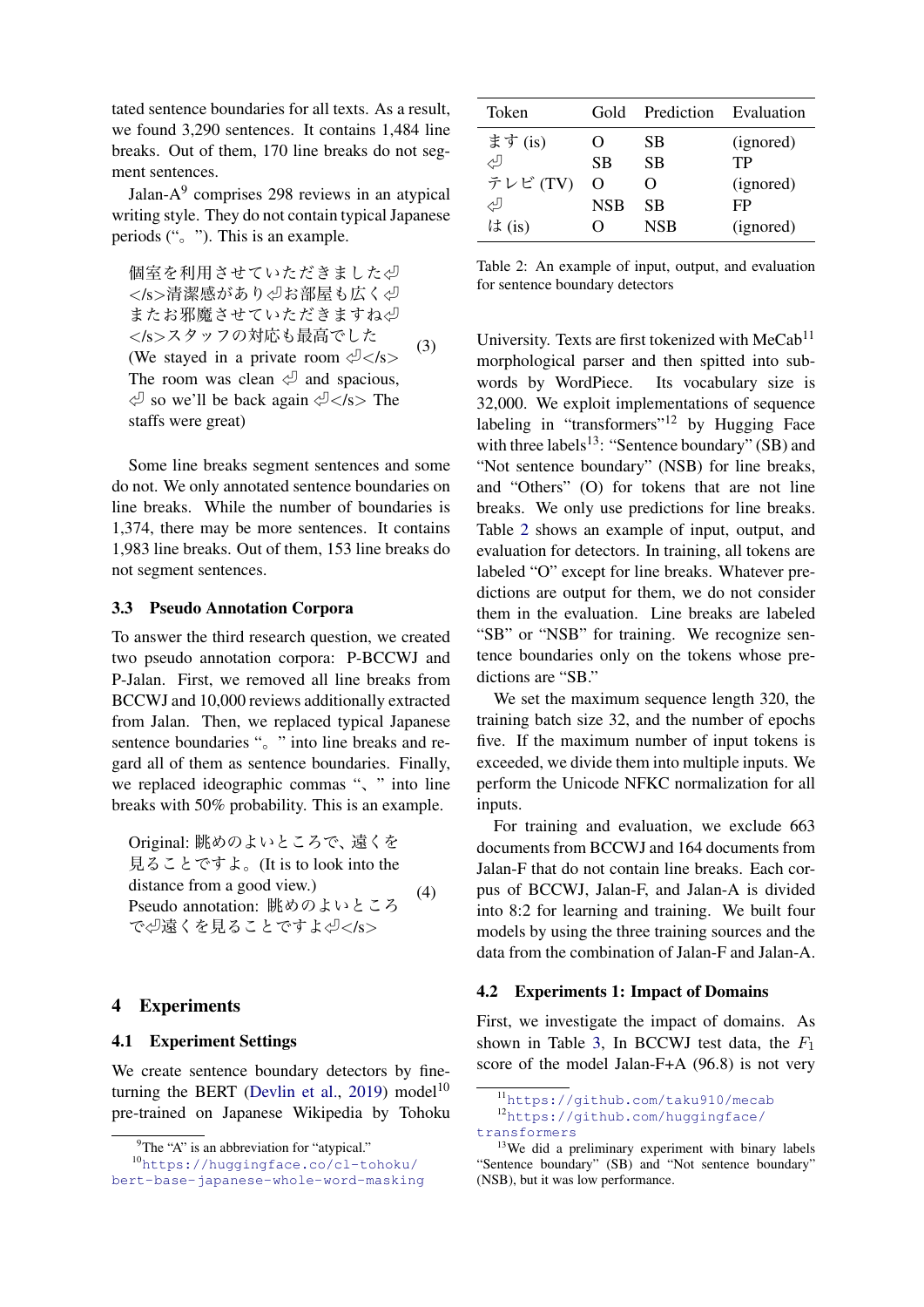tated sentence boundaries for all texts. As a result, we found 3,290 sentences. It contains 1,484 line breaks. Out of them, 170 line breaks do not segment sentences.

Jalan-A<sup>9</sup> comprises 298 reviews in an atypical writing style. They do not contain typical Japanese periods ("。"). This is an example.

個室を利用させていただきました√ *<*/s*>*清潔感があり㾑お部屋も広く㾑 またお邪魔させていただきますね少 *<*/s*>*スタッフの対応も最高でした (We stayed in a private room 㾑*<*/s*>* The room was clean  $\Diamond$  and spacious, 㾑 so we'll be back again 㾑*<*/s*>* The staffs were great) (3)

Some line breaks segment sentences and some do not. We only annotated sentence boundaries on line breaks. While the number of boundaries is 1,374, there may be more sentences. It contains 1,983 line breaks. Out of them, 153 line breaks do not segment sentences.

#### 3.3 Pseudo Annotation Corpora

To answer the third research question, we created two pseudo annotation corpora: P-BCCWJ and P-Jalan. First, we removed all line breaks from BCCWJ and 10,000 reviews additionally extracted from Jalan. Then, we replaced typical Japanese sentence boundaries ". " into line breaks and regard all of them as sentence boundaries. Finally, we replaced ideographic commas ", " into line breaks with 50% probability. This is an example.

Original: 眺めのよいところで、遠くを 見ることですよ。(It is to look into the distance from a good view.) Pseudo annotation: 眺めのよいところ で㾑遠くを見ることですよ㾑*<*/s*>* (4)

#### 4 Experiments

### 4.1 Experiment Settings

We create sentence boundary detectors by fineturning the BERT (Devlin et al., 2019) model<sup>10</sup> pre-trained on Japanese Wikipedia by Tohoku

<span id="page-2-0"></span>

| Token    | Gold       | Prediction Evaluation |           |
|----------|------------|-----------------------|-----------|
| ます (is)  |            | <b>SB</b>             | (ignored) |
| رلى      | SB         | <b>SB</b>             | TР        |
| テレビ (TV) | O          | $\mathbf{\Omega}$     | (ignored) |
| رلى      | <b>NSB</b> | <b>SB</b>             | FP        |
| は(is)    | 0          | <b>NSB</b>            | (ignored) |

Table 2: An example of input, output, and evaluation for sentence boundary detectors

University. Texts are first tokenized with  $MeCab<sup>11</sup>$ morphological parser and then spitted into subwords by WordPiece. Its vocabulary size is 32,000. We exploit implementations of sequence labeling in "transformers"<sup>12</sup> by Hugging Face with three labels<sup>13</sup>: "Sentence boundary" (SB) and "Not sentence boundary" (NSB) for line breaks, and "Others" (O) for tokens that are not line breaks. We only use predictions for line breaks. Table 2 shows an example of input, output, and evaluation for detectors. In training, all tokens are labeled "O" except for line breaks. Whatever predictions are output for them, we do not consider them [in](#page-2-0) the evaluation. Line breaks are labeled "SB" or "NSB" for training. We recognize sentence boundaries only on the tokens whose predictions are "SB."

We set the maximum sequence length 320, the training batch size 32, and the number of epochs five. If the maximum number of input tokens is exceeded, we divide them into multiple inputs. We perform the Unicode NFKC normalization for all inputs.

For training and evaluation, we exclude 663 documents from BCCWJ and 164 documents from Jalan-F that do not contain line breaks. Each corpus of BCCWJ, Jalan-F, and Jalan-A is divided into 8:2 for learning and training. We built four models by using the three training sources and the data from the combination of Jalan-F and Jalan-A.

#### 4.2 Experiments 1: Impact of Domains

First, we investigate the impact of domains. As shown in Table 3, In BCCWJ test data, the *F*<sup>1</sup> score of the model Jalan-F+A (96.8) is not very

 ${}^{9}$ The "A" is an abbreviation for "atypical."

<sup>10</sup>https://hugg[ingface.co/cl-toh](#page-4-10)oku/ bert-base-japanese-whole-word-masking

<sup>11</sup>https://github.com/taku910/mecab

<sup>12</sup>https://gi[th](#page-3-2)ub.com/huggingface/ transformers

<sup>&</sup>lt;sup>13</sup>We did a preliminary experiment with binary labels "Sentence boundary" (SB) and "Not sentence boundary" (NS[B\), but it was low performance.](https://github.com/taku910/mecab)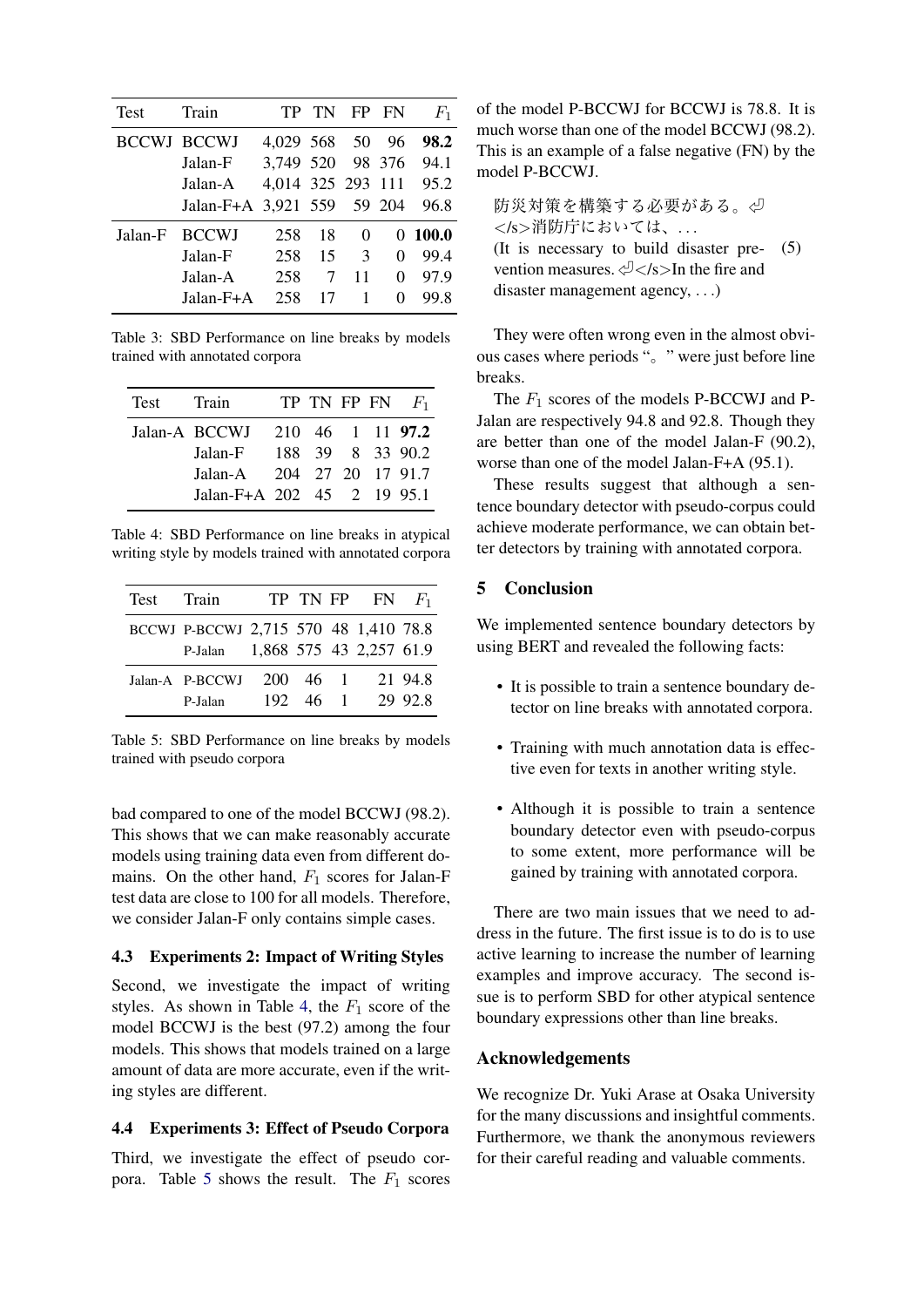<span id="page-3-2"></span>

| <b>Test</b> | Train                      | TP               | TN |               | FP FN    | $F_1$                  |
|-------------|----------------------------|------------------|----|---------------|----------|------------------------|
|             | <b>BCCWJ BCCWJ</b>         | 4,029 568 50     |    |               | 96       | 98.2                   |
|             | Jalan-F                    | 3,749 520 98 376 |    |               |          | 94.1                   |
|             | Jalan-A                    |                  |    |               |          | 4,014 325 293 111 95.2 |
|             | Jalan-F+A 3,921 559 59 204 |                  |    |               |          | 96.8                   |
| Jalan-F     | <b>BCCWJ</b>               | 258              | 18 | 0             | $^{(1)}$ | 100.0                  |
|             | Jalan-F                    | 258              | 15 | $\mathcal{R}$ |          | 99.4                   |
|             | Jalan-A                    | 258              | 7  | 11            | 0        | 97.9                   |
|             | Jalan-F+A                  | 258              | 17 |               |          | 99.8                   |

Table 3: SBD Performance on line breaks by models trained with annotated corpora

<span id="page-3-3"></span>

| Test | Train                      |  |  | TP TN FP FN $F_1$ |
|------|----------------------------|--|--|-------------------|
|      | Jalan-A BCCWJ              |  |  | 210 46 1 11 97.2  |
|      | Jalan-F                    |  |  | 188 39 8 33 90.2  |
|      | Jalan-A 204 27 20 17 91.7  |  |  |                   |
|      | Jalan-F+A 202 45 2 19 95.1 |  |  |                   |

Table 4: SBD Performance on line breaks in atypical writing style by models trained with annotated corpora

| Test Train |                                       |             | TP TN FP FN $F_1$ |         |
|------------|---------------------------------------|-------------|-------------------|---------|
|            | BCCWJ P-BCCWJ 2,715 570 48 1,410 78.8 |             |                   |         |
|            | P-Jalan 1,868 575 43 2,257 61.9       |             |                   |         |
|            | Jalan-A P-BCCWJ                       | 200 46 1    |                   | 21 94.8 |
|            | P-Jalan                               | $192, 46$ 1 |                   | 29 92 8 |

Table 5: SBD Performance on line breaks by models trained with pseudo corpora

bad compared to one of the model BCCWJ (98.2). This shows that we can make reasonably accurate models using training data even from different domains. On the other hand,  $F_1$  scores for Jalan-F test data are close to 100 for all models. Therefore, we consider Jalan-F only contains simple cases.

## 4.3 Experiments 2: Impact of Writing Styles

<span id="page-3-0"></span>Second, we investigate the impact of writing styles. As shown in Table 4, the *F*<sup>1</sup> score of the model BCCWJ is the best (97.2) among the four models. This shows that models trained on a large amount of data are more ac[cu](#page-3-3)rate, even if the writing styles are different.

### 4.4 Experiments 3: Effect of Pseudo Corpora

<span id="page-3-1"></span>Third, we investigate the effect of pseudo corpora. Table 5 shows the result. The *F*<sup>1</sup> scores of the model P-BCCWJ for BCCWJ is 78.8. It is much worse than one of the model BCCWJ (98.2). This is an example of a false negative (FN) by the model P-BCCWJ.

防災対策を構築する必要がある。 *<*/s*>*消防庁においては、*. . .* (It is necessary to build disaster prevention measures. 㾑*<*/s*>*In the fire and disaster management agency, *. . .*) (5)

They were often wrong even in the almost obvious cases where periods "。" were just before line breaks.

The *F*<sup>1</sup> scores of the models P-BCCWJ and P-Jalan are respectively 94.8 and 92.8. Though they are better than one of the model Jalan-F (90.2), worse than one of the model Jalan-F+A (95.1).

These results suggest that although a sentence boundary detector with pseudo-corpus could achieve moderate performance, we can obtain better detectors by training with annotated corpora.

## 5 Conclusion

We implemented sentence boundary detectors by using BERT and revealed the following facts:

- It is possible to train a sentence boundary detector on line breaks with annotated corpora.
- Training with much annotation data is effective even for texts in another writing style.
- Although it is possible to train a sentence boundary detector even with pseudo-corpus to some extent, more performance will be gained by training with annotated corpora.

There are two main issues that we need to address in the future. The first issue is to do is to use active learning to increase the number of learning examples and improve accuracy. The second issue is to perform SBD for other atypical sentence boundary expressions other than line breaks.

## Acknowledgements

We recognize Dr. Yuki Arase at Osaka University for the many discussions and insightful comments. Furthermore, we thank the anonymous reviewers for their careful reading and valuable comments.